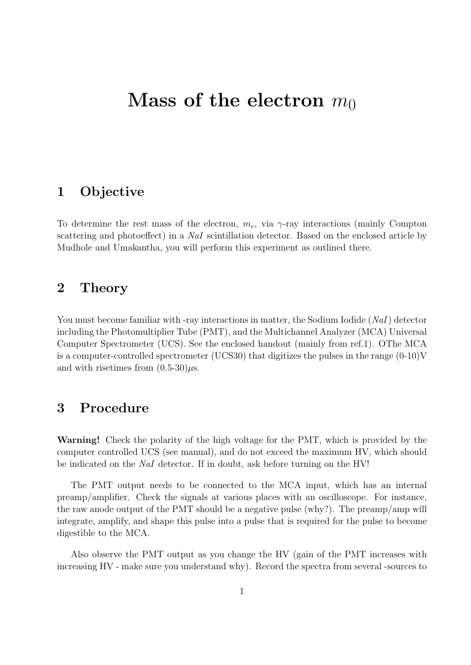# **Mass of the electron**  $m_0$

### **1 Objective**

To determine the rest mass of the electron,  $m_e$ , via  $\gamma$ -ray interactions (mainly Compton scattering and photoeffect) in a *NaI* scintillation detector. Based on the enclosed article by Mudhole and Umakantha, you will perform this experiment as outlined there.

#### **2 Theory**

You must become familiar with -ray interactions in matter, the Sodium Iodide (*NaI*) detector including the Photomultiplier Tube (PMT), and the Multichannel Analyzer (MCA) Universal Computer Spectrometer (UCS). See the enclosed handout (mainly from ref.1). OThe MCA is a computer-controlled spectrometer (UCS30) that digitizes the pulses in the range  $(0-10)V$ and with risetimes from  $(0.5-30)\mu s$ .

## **3 Procedure**

**Warning!** Check the polarity of the high voltage for the PMT, which is provided by the computer controlled UCS (see manual), and do not exceed the maximum HV, which should be indicated on the *NaI* detector. If in doubt, ask before turning on the HV!

The PMT output needs to be connected to the MCA input, which has an internal preamp/amplifier. Check the signals at various places with an oscilloscope. For instance, the raw anode output of the PMT should be a negative pulse (why?). The preamp/amp will integrate, amplify, and shape this pulse into a pulse that is required for the pulse to become digestible to the MCA.

Also observe the PMT output as you change the HV (gain of the PMT increases with increasing HV - make sure you understand why). Record the spectra from several -sources to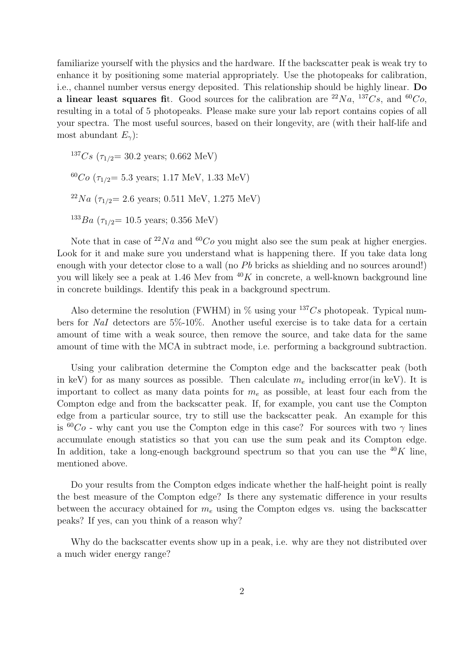familiarize yourself with the physics and the hardware. If the backscatter peak is weak try to enhance it by positioning some material appropriately. Use the photopeaks for calibration, i.e., channel number versus energy deposited. This relationship should be highly linear. **Do a linear least squares fit.** Good sources for the calibration are  ${}^{22}Na$ ,  ${}^{137}Cs$ , and  ${}^{60}Co$ , resulting in a total of 5 photopeaks. Please make sure your lab report contains copies of all your spectra. The most useful sources, based on their longevity, are (with their half-life and most abundant *Eγ*):

 $137Cs$  ( $\tau_{1/2}$  = 30.2 years; 0.662 MeV)  $^{60}Co$  ( $\tau_{1/2}$ = 5.3 years; 1.17 MeV, 1.33 MeV)  $^{22}Na$  ( $\tau_{1/2}$  = 2.6 years; 0.511 MeV, 1.275 MeV)  $^{133}Ba$  ( $\tau_{1/2}$  = 10.5 years; 0.356 MeV)

Note that in case of  $^{22}Na$  and  $^{60}Co$  you might also see the sum peak at higher energies. Look for it and make sure you understand what is happening there. If you take data long enough with your detector close to a wall (no *Pb* bricks as shielding and no sources around!) you will likely see a peak at 1.46 Mev from  $40K$  in concrete, a well-known background line in concrete buildings. Identify this peak in a background spectrum.

Also determine the resolution (FWHM) in  $\%$  using your  $137Cs$  photopeak. Typical numbers for *NaI* detectors are 5%-10%. Another useful exercise is to take data for a certain amount of time with a weak source, then remove the source, and take data for the same amount of time with the MCA in subtract mode, i.e. performing a background subtraction.

Using your calibration determine the Compton edge and the backscatter peak (both in keV) for as many sources as possible. Then calculate  $m<sub>e</sub>$  including error(in keV). It is important to collect as many data points for *m<sup>e</sup>* as possible, at least four each from the Compton edge and from the backscatter peak. If, for example, you cant use the Compton edge from a particular source, try to still use the backscatter peak. An example for this is  ${}^{60}Co$  - why cant you use the Compton edge in this case? For sources with two  $\gamma$  lines accumulate enough statistics so that you can use the sum peak and its Compton edge. In addition, take a long-enough background spectrum so that you can use the  $^{40}K$  line, mentioned above.

Do your results from the Compton edges indicate whether the half-height point is really the best measure of the Compton edge? Is there any systematic difference in your results between the accuracy obtained for *m<sup>e</sup>* using the Compton edges vs. using the backscatter peaks? If yes, can you think of a reason why?

Why do the backscatter events show up in a peak, i.e. why are they not distributed over a much wider energy range?